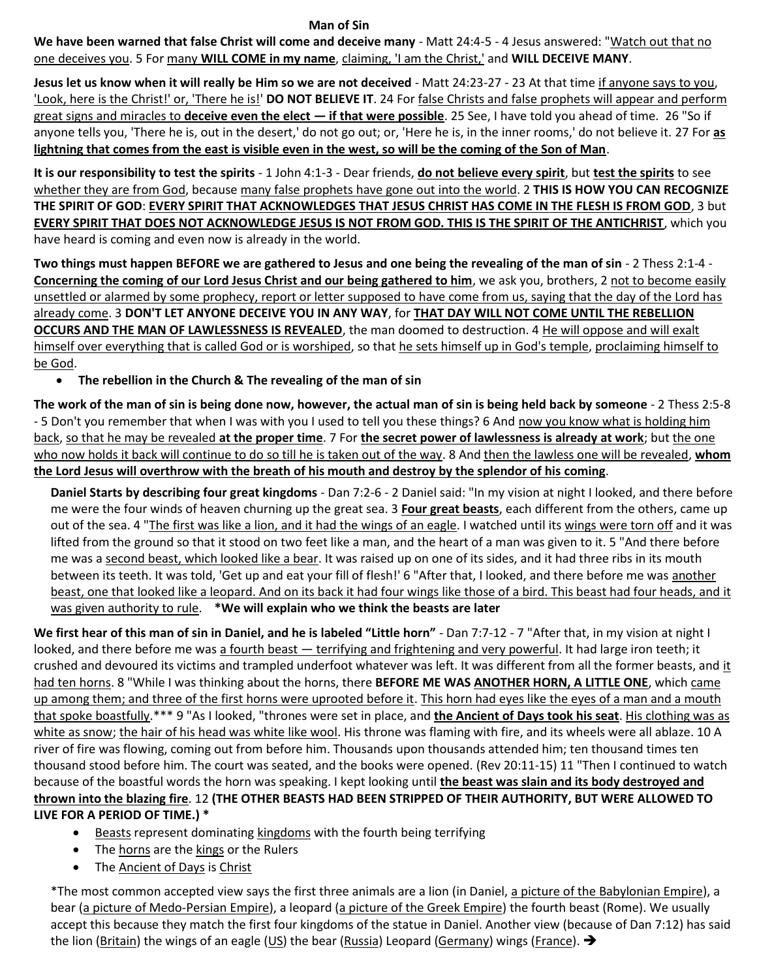## **Man of Sin**

**We have been warned that false Christ will come and deceive many** - Matt 24:4-5 - 4 Jesus answered: "Watch out that no one deceives you. 5 For many **WILL COME in my name**, claiming, 'I am the Christ,' and **WILL DECEIVE MANY**.

**Jesus let us know when it will really be Him so we are not deceived** - Matt 24:23-27 - 23 At that time if anyone says to you, 'Look, here is the Christ!' or, 'There he is!' **DO NOT BELIEVE IT**. 24 For false Christs and false prophets will appear and perform great signs and miracles to **deceive even the elect — if that were possible**. 25 See, I have told you ahead of time. 26 "So if anyone tells you, 'There he is, out in the desert,' do not go out; or, 'Here he is, in the inner rooms,' do not believe it. 27 For **as lightning that comes from the east is visible even in the west, so will be the coming of the Son of Man**.

**It is our responsibility to test the spirits** - 1 John 4:1-3 - Dear friends, **do not believe every spirit**, but **test the spirits** to see whether they are from God, because many false prophets have gone out into the world. 2 **THIS IS HOW YOU CAN RECOGNIZE THE SPIRIT OF GOD**: **EVERY SPIRIT THAT ACKNOWLEDGES THAT JESUS CHRIST HAS COME IN THE FLESH IS FROM GOD**, 3 but **EVERY SPIRIT THAT DOES NOT ACKNOWLEDGE JESUS IS NOT FROM GOD. THIS IS THE SPIRIT OF THE ANTICHRIST**, which you have heard is coming and even now is already in the world.

**Two things must happen BEFORE we are gathered to Jesus and one being the revealing of the man of sin** - 2 Thess 2:1-4 - **Concerning the coming of our Lord Jesus Christ and our being gathered to him**, we ask you, brothers, 2 not to become easily unsettled or alarmed by some prophecy, report or letter supposed to have come from us, saying that the day of the Lord has already come. 3 **DON'T LET ANYONE DECEIVE YOU IN ANY WAY**, for **THAT DAY WILL NOT COME UNTIL THE REBELLION OCCURS AND THE MAN OF LAWLESSNESS IS REVEALED**, the man doomed to destruction. 4 He will oppose and will exalt himself over everything that is called God or is worshiped, so that he sets himself up in God's temple, proclaiming himself to be God.

## • **The rebellion in the Church & The revealing of the man of sin**

**The work of the man of sin is being done now, however, the actual man of sin is being held back by someone** - 2 Thess 2:5-8 - 5 Don't you remember that when I was with you I used to tell you these things? 6 And now you know what is holding him back, so that he may be revealed **at the proper time**. 7 For **the secret power of lawlessness is already at work**; but the one who now holds it back will continue to do so till he is taken out of the way. 8 And then the lawless one will be revealed, **whom the Lord Jesus will overthrow with the breath of his mouth and destroy by the splendor of his coming**.

**Daniel Starts by describing four great kingdoms** - Dan 7:2-6 - 2 Daniel said: "In my vision at night I looked, and there before me were the four winds of heaven churning up the great sea. 3 **Four great beasts**, each different from the others, came up out of the sea. 4 "The first was like a lion, and it had the wings of an eagle. I watched until its wings were torn off and it was lifted from the ground so that it stood on two feet like a man, and the heart of a man was given to it. 5 "And there before me was a second beast, which looked like a bear. It was raised up on one of its sides, and it had three ribs in its mouth between its teeth. It was told, 'Get up and eat your fill of flesh!' 6 "After that, I looked, and there before me was another beast, one that looked like a leopard. And on its back it had four wings like those of a bird. This beast had four heads, and it was given authority to rule. **\*We will explain who we think the beasts are later**

**We first hear of this man of sin in Daniel, and he is labeled "Little horn"** - Dan 7:7-12 - 7 "After that, in my vision at night I looked, and there before me was a fourth beast — terrifying and frightening and very powerful. It had large iron teeth; it crushed and devoured its victims and trampled underfoot whatever was left. It was different from all the former beasts, and it had ten horns. 8 "While I was thinking about the horns, there **BEFORE ME WAS ANOTHER HORN, A LITTLE ONE**, which came up among them; and three of the first horns were uprooted before it. This horn had eyes like the eyes of a man and a mouth that spoke boastfully.\*\*\* 9 "As I looked, "thrones were set in place, and **the Ancient of Days took his seat**. His clothing was as white as snow; the hair of his head was white like wool. His throne was flaming with fire, and its wheels were all ablaze. 10 A river of fire was flowing, coming out from before him. Thousands upon thousands attended him; ten thousand times ten thousand stood before him. The court was seated, and the books were opened. (Rev 20:11-15) 11 "Then I continued to watch because of the boastful words the horn was speaking. I kept looking until **the beast was slain and its body destroyed and thrown into the blazing fire**. 12 **(THE OTHER BEASTS HAD BEEN STRIPPED OF THEIR AUTHORITY, BUT WERE ALLOWED TO LIVE FOR A PERIOD OF TIME.) \***

- Beasts represent dominating kingdoms with the fourth being terrifying
- The horns are the kings or the Rulers
- The Ancient of Days is Christ

\*The most common accepted view says the first three animals are a lion (in Daniel, a picture of the Babylonian Empire), a bear (a picture of Medo-Persian Empire), a leopard (a picture of the Greek Empire) the fourth beast (Rome). We usually accept this because they match the first four kingdoms of the statue in Daniel. Another view (because of Dan 7:12) has said the lion (Britain) the wings of an eagle (US) the bear (Russia) Leopard (Germany) wings (France).  $\rightarrow$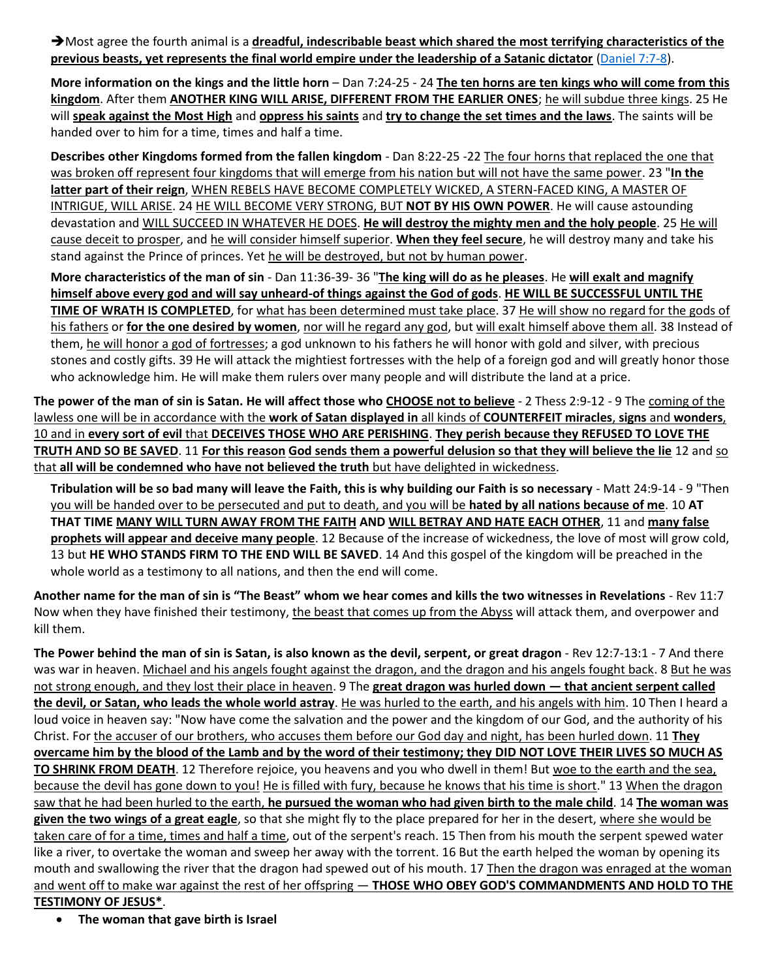➔Most agree the fourth animal is a **dreadful, indescribable beast which shared the most terrifying characteristics of the previous beasts, yet represents the final world empire under the leadership of a Satanic dictator** [\(Daniel 7:7-8\)](https://www.blueletterbible.org/search/preSearch.cfm?Criteria=Daniel+7.7-8&t=NKJV).

**More information on the kings and the little horn** – Dan 7:24-25 - 24 **The ten horns are ten kings who will come from this kingdom**. After them **ANOTHER KING WILL ARISE, DIFFERENT FROM THE EARLIER ONES**; he will subdue three kings. 25 He will **speak against the Most High** and **oppress his saints** and **try to change the set times and the laws**. The saints will be handed over to him for a time, times and half a time.

**Describes other Kingdoms formed from the fallen kingdom** - Dan 8:22-25 -22 The four horns that replaced the one that was broken off represent four kingdoms that will emerge from his nation but will not have the same power. 23 "**In the latter part of their reign**, WHEN REBELS HAVE BECOME COMPLETELY WICKED, A STERN-FACED KING, A MASTER OF INTRIGUE, WILL ARISE. 24 HE WILL BECOME VERY STRONG, BUT **NOT BY HIS OWN POWER**. He will cause astounding devastation and WILL SUCCEED IN WHATEVER HE DOES. **He will destroy the mighty men and the holy people**. 25 He will cause deceit to prosper, and he will consider himself superior. **When they feel secure**, he will destroy many and take his stand against the Prince of princes. Yet he will be destroyed, but not by human power.

**More characteristics of the man of sin** - Dan 11:36-39- 36 "**The king will do as he pleases**. He **will exalt and magnify himself above every god and will say unheard-of things against the God of gods**. **HE WILL BE SUCCESSFUL UNTIL THE TIME OF WRATH IS COMPLETED**, for what has been determined must take place. 37 He will show no regard for the gods of his fathers or **for the one desired by women**, nor will he regard any god, but will exalt himself above them all. 38 Instead of them, he will honor a god of fortresses; a god unknown to his fathers he will honor with gold and silver, with precious stones and costly gifts. 39 He will attack the mightiest fortresses with the help of a foreign god and will greatly honor those who acknowledge him. He will make them rulers over many people and will distribute the land at a price.

**The power of the man of sin is Satan. He will affect those who CHOOSE not to believe** - 2 Thess 2:9-12 - 9 The coming of the lawless one will be in accordance with the **work of Satan displayed in** all kinds of **COUNTERFEIT miracles**, **signs** and **wonders**, 10 and in **every sort of evil** that **DECEIVES THOSE WHO ARE PERISHING**. **They perish because they REFUSED TO LOVE THE TRUTH AND SO BE SAVED**. 11 **For this reason God sends them a powerful delusion so that they will believe the lie** 12 and so that **all will be condemned who have not believed the truth** but have delighted in wickedness.

**Tribulation will be so bad many will leave the Faith, this is why building our Faith is so necessary** - Matt 24:9-14 - 9 "Then you will be handed over to be persecuted and put to death, and you will be **hated by all nations because of me**. 10 **AT THAT TIME MANY WILL TURN AWAY FROM THE FAITH AND WILL BETRAY AND HATE EACH OTHER**, 11 and **many false prophets will appear and deceive many people**. 12 Because of the increase of wickedness, the love of most will grow cold, 13 but **HE WHO STANDS FIRM TO THE END WILL BE SAVED**. 14 And this gospel of the kingdom will be preached in the whole world as a testimony to all nations, and then the end will come.

**Another name for the man of sin is "The Beast" whom we hear comes and kills the two witnesses in Revelations** - Rev 11:7 Now when they have finished their testimony, the beast that comes up from the Abyss will attack them, and overpower and kill them.

**The Power behind the man of sin is Satan, is also known as the devil, serpent, or great dragon** - Rev 12:7-13:1 - 7 And there was war in heaven. Michael and his angels fought against the dragon, and the dragon and his angels fought back. 8 But he was not strong enough, and they lost their place in heaven. 9 The **great dragon was hurled down — that ancient serpent called the devil, or Satan, who leads the whole world astray**. He was hurled to the earth, and his angels with him. 10 Then I heard a loud voice in heaven say: "Now have come the salvation and the power and the kingdom of our God, and the authority of his Christ. For the accuser of our brothers, who accuses them before our God day and night, has been hurled down. 11 **They overcame him by the blood of the Lamb and by the word of their testimony; they DID NOT LOVE THEIR LIVES SO MUCH AS TO SHRINK FROM DEATH**. 12 Therefore rejoice, you heavens and you who dwell in them! But woe to the earth and the sea, because the devil has gone down to you! He is filled with fury, because he knows that his time is short." 13 When the dragon saw that he had been hurled to the earth, **he pursued the woman who had given birth to the male child**. 14 **The woman was given the two wings of a great eagle**, so that she might fly to the place prepared for her in the desert, where she would be taken care of for a time, times and half a time, out of the serpent's reach. 15 Then from his mouth the serpent spewed water like a river, to overtake the woman and sweep her away with the torrent. 16 But the earth helped the woman by opening its mouth and swallowing the river that the dragon had spewed out of his mouth. 17 Then the dragon was enraged at the woman and went off to make war against the rest of her offspring — **THOSE WHO OBEY GOD'S COMMANDMENTS AND HOLD TO THE TESTIMONY OF JESUS\***.

• **The woman that gave birth is Israel**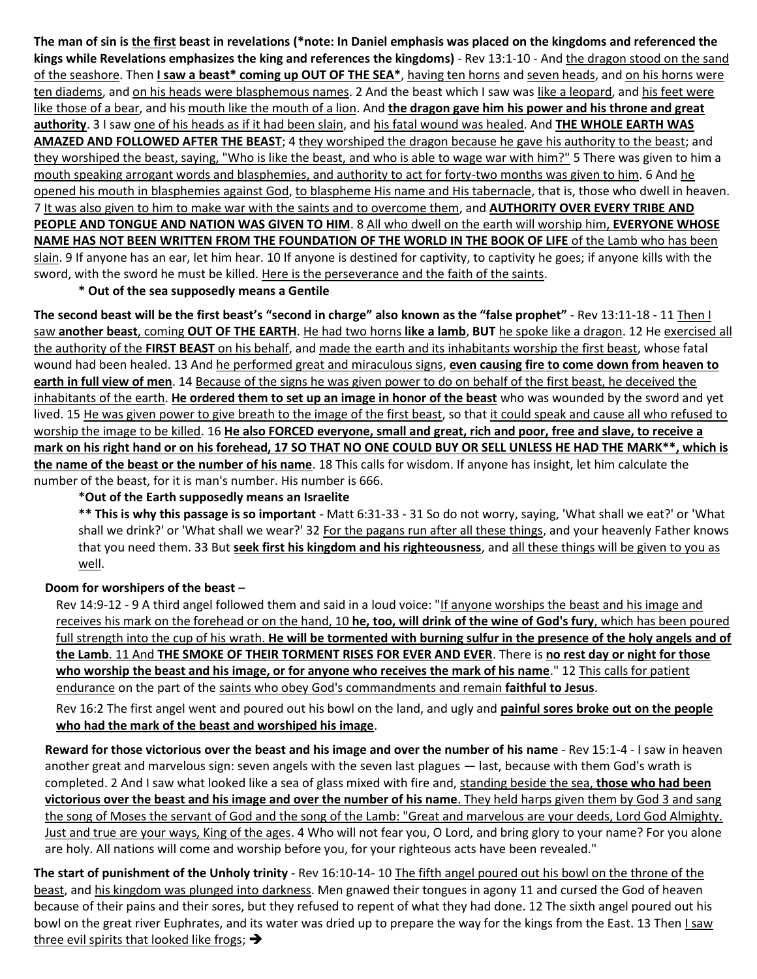**The man of sin is the first beast in revelations (\*note: In Daniel emphasis was placed on the kingdoms and referenced the kings while Revelations emphasizes the king and references the kingdoms)** - Rev 13:1-10 - And the dragon stood on the sand of the seashore. Then **I saw a beast\* coming up OUT OF THE SEA\***, having ten horns and seven heads, and on his horns were ten diadems, and on his heads were blasphemous names. 2 And the beast which I saw was like a leopard, and his feet were like those of a bear, and his mouth like the mouth of a lion. And **the dragon gave him his power and his throne and great authority**. 3 I saw one of his heads as if it had been slain, and his fatal wound was healed. And **THE WHOLE EARTH WAS AMAZED AND FOLLOWED AFTER THE BEAST**; 4 they worshiped the dragon because he gave his authority to the beast; and they worshiped the beast, saying, "Who is like the beast, and who is able to wage war with him?" 5 There was given to him a mouth speaking arrogant words and blasphemies, and authority to act for forty-two months was given to him. 6 And he opened his mouth in blasphemies against God, to blaspheme His name and His tabernacle, that is, those who dwell in heaven. 7 It was also given to him to make war with the saints and to overcome them, and **AUTHORITY OVER EVERY TRIBE AND PEOPLE AND TONGUE AND NATION WAS GIVEN TO HIM**. 8 All who dwell on the earth will worship him, **EVERYONE WHOSE NAME HAS NOT BEEN WRITTEN FROM THE FOUNDATION OF THE WORLD IN THE BOOK OF LIFE** of the Lamb who has been slain. 9 If anyone has an ear, let him hear. 10 If anyone is destined for captivity, to captivity he goes; if anyone kills with the sword, with the sword he must be killed. Here is the perseverance and the faith of the saints.

**\* Out of the sea supposedly means a Gentile**

**The second beast will be the first beast's "second in charge" also known as the "false prophet"** - Rev 13:11-18 - 11 Then I saw **another beast**, coming **OUT OF THE EARTH**. He had two horns **like a lamb**, **BUT** he spoke like a dragon. 12 He exercised all the authority of the **FIRST BEAST** on his behalf, and made the earth and its inhabitants worship the first beast, whose fatal wound had been healed. 13 And he performed great and miraculous signs, **even causing fire to come down from heaven to earth in full view of men**. 14 Because of the signs he was given power to do on behalf of the first beast, he deceived the inhabitants of the earth. **He ordered them to set up an image in honor of the beast** who was wounded by the sword and yet lived. 15 He was given power to give breath to the image of the first beast, so that it could speak and cause all who refused to worship the image to be killed. 16 **He also FORCED everyone, small and great, rich and poor, free and slave, to receive a mark on his right hand or on his forehead, 17 SO THAT NO ONE COULD BUY OR SELL UNLESS HE HAD THE MARK\*\*, which is the name of the beast or the number of his name**. 18 This calls for wisdom. If anyone has insight, let him calculate the number of the beast, for it is man's number. His number is 666.

## **\*Out of the Earth supposedly means an Israelite**

**\*\* This is why this passage is so important** - Matt 6:31-33 - 31 So do not worry, saying, 'What shall we eat?' or 'What shall we drink?' or 'What shall we wear?' 32 For the pagans run after all these things, and your heavenly Father knows that you need them. 33 But **seek first his kingdom and his righteousness**, and all these things will be given to you as well.

## **Doom for worshipers of the beast** –

Rev 14:9-12 - 9 A third angel followed them and said in a loud voice: "If anyone worships the beast and his image and receives his mark on the forehead or on the hand, 10 **he, too, will drink of the wine of God's fury**, which has been poured full strength into the cup of his wrath. **He will be tormented with burning sulfur in the presence of the holy angels and of the Lamb**. 11 And **THE SMOKE OF THEIR TORMENT RISES FOR EVER AND EVER**. There is **no rest day or night for those who worship the beast and his image, or for anyone who receives the mark of his name**." 12 This calls for patient endurance on the part of the saints who obey God's commandments and remain **faithful to Jesus**.

Rev 16:2 The first angel went and poured out his bowl on the land, and ugly and **painful sores broke out on the people who had the mark of the beast and worshiped his image**.

**Reward for those victorious over the beast and his image and over the number of his name** - Rev 15:1-4 - I saw in heaven another great and marvelous sign: seven angels with the seven last plagues — last, because with them God's wrath is completed. 2 And I saw what looked like a sea of glass mixed with fire and, standing beside the sea, **those who had been victorious over the beast and his image and over the number of his name**. They held harps given them by God 3 and sang the song of Moses the servant of God and the song of the Lamb: "Great and marvelous are your deeds, Lord God Almighty. Just and true are your ways, King of the ages. 4 Who will not fear you, O Lord, and bring glory to your name? For you alone are holy. All nations will come and worship before you, for your righteous acts have been revealed."

**The start of punishment of the Unholy trinity** - Rev 16:10-14- 10 The fifth angel poured out his bowl on the throne of the beast, and his kingdom was plunged into darkness. Men gnawed their tongues in agony 11 and cursed the God of heaven because of their pains and their sores, but they refused to repent of what they had done. 12 The sixth angel poured out his bowl on the great river Euphrates, and its water was dried up to prepare the way for the kings from the East. 13 Then *I saw* three evil spirits that looked like frogs;  $\rightarrow$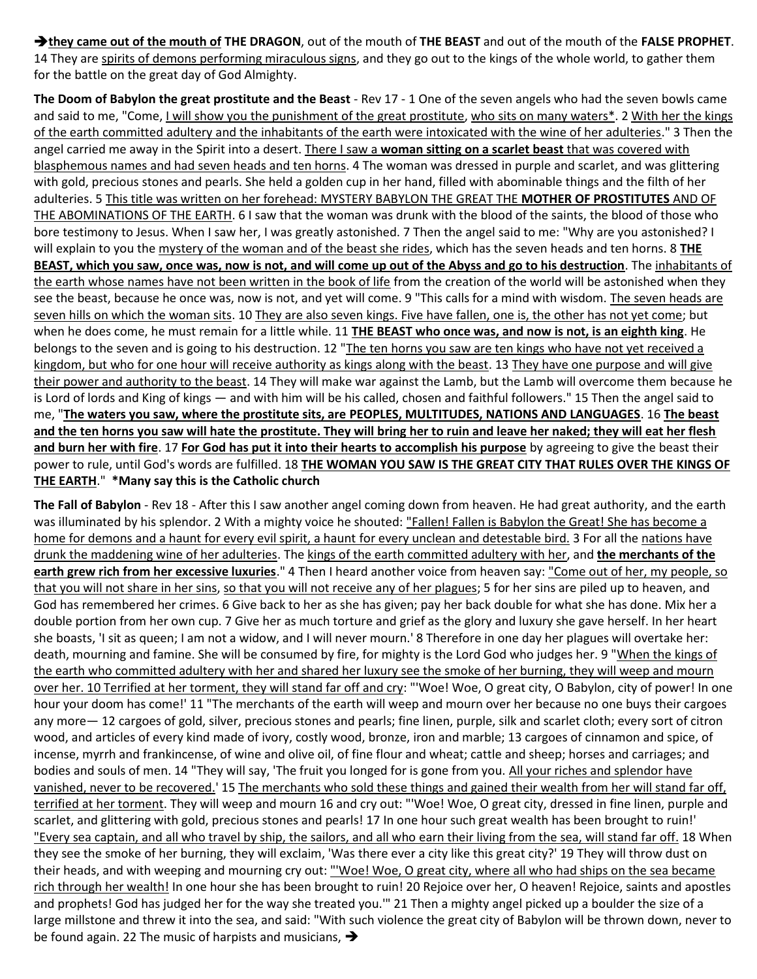➔**they came out of the mouth of THE DRAGON**, out of the mouth of **THE BEAST** and out of the mouth of the **FALSE PROPHET**. 14 They are spirits of demons performing miraculous signs, and they go out to the kings of the whole world, to gather them for the battle on the great day of God Almighty.

**The Doom of Babylon the great prostitute and the Beast** - Rev 17 - 1 One of the seven angels who had the seven bowls came and said to me, "Come, I will show you the punishment of the great prostitute, who sits on many waters\*. 2 With her the kings of the earth committed adultery and the inhabitants of the earth were intoxicated with the wine of her adulteries." 3 Then the angel carried me away in the Spirit into a desert. There I saw a **woman sitting on a scarlet beast** that was covered with blasphemous names and had seven heads and ten horns. 4 The woman was dressed in purple and scarlet, and was glittering with gold, precious stones and pearls. She held a golden cup in her hand, filled with abominable things and the filth of her adulteries. 5 This title was written on her forehead: MYSTERY BABYLON THE GREAT THE **MOTHER OF PROSTITUTES** AND OF THE ABOMINATIONS OF THE EARTH. 6 I saw that the woman was drunk with the blood of the saints, the blood of those who bore testimony to Jesus. When I saw her, I was greatly astonished. 7 Then the angel said to me: "Why are you astonished? I will explain to you the mystery of the woman and of the beast she rides, which has the seven heads and ten horns. 8 **THE BEAST, which you saw, once was, now is not, and will come up out of the Abyss and go to his destruction**. The inhabitants of the earth whose names have not been written in the book of life from the creation of the world will be astonished when they see the beast, because he once was, now is not, and yet will come. 9 "This calls for a mind with wisdom. The seven heads are seven hills on which the woman sits. 10 They are also seven kings. Five have fallen, one is, the other has not yet come; but when he does come, he must remain for a little while. 11 **THE BEAST who once was, and now is not, is an eighth king**. He belongs to the seven and is going to his destruction. 12 "The ten horns you saw are ten kings who have not yet received a kingdom, but who for one hour will receive authority as kings along with the beast. 13 They have one purpose and will give their power and authority to the beast. 14 They will make war against the Lamb, but the Lamb will overcome them because he is Lord of lords and King of kings — and with him will be his called, chosen and faithful followers." 15 Then the angel said to me, "**The waters you saw, where the prostitute sits, are PEOPLES, MULTITUDES, NATIONS AND LANGUAGES**. 16 **The beast and the ten horns you saw will hate the prostitute. They will bring her to ruin and leave her naked; they will eat her flesh and burn her with fire**. 17 **For God has put it into their hearts to accomplish his purpose** by agreeing to give the beast their power to rule, until God's words are fulfilled. 18 **THE WOMAN YOU SAW IS THE GREAT CITY THAT RULES OVER THE KINGS OF THE EARTH**." **\*Many say this is the Catholic church**

**The Fall of Babylon** - Rev 18 - After this I saw another angel coming down from heaven. He had great authority, and the earth was illuminated by his splendor. 2 With a mighty voice he shouted: "Fallen! Fallen is Babylon the Great! She has become a home for demons and a haunt for every evil spirit, a haunt for every unclean and detestable bird. 3 For all the nations have drunk the maddening wine of her adulteries. The kings of the earth committed adultery with her, and **the merchants of the earth grew rich from her excessive luxuries**." 4 Then I heard another voice from heaven say: "Come out of her, my people, so that you will not share in her sins, so that you will not receive any of her plagues; 5 for her sins are piled up to heaven, and God has remembered her crimes. 6 Give back to her as she has given; pay her back double for what she has done. Mix her a double portion from her own cup. 7 Give her as much torture and grief as the glory and luxury she gave herself. In her heart she boasts, 'I sit as queen; I am not a widow, and I will never mourn.' 8 Therefore in one day her plagues will overtake her: death, mourning and famine. She will be consumed by fire, for mighty is the Lord God who judges her. 9 "When the kings of the earth who committed adultery with her and shared her luxury see the smoke of her burning, they will weep and mourn over her. 10 Terrified at her torment, they will stand far off and cry: "'Woe! Woe, O great city, O Babylon, city of power! In one hour your doom has come!' 11 "The merchants of the earth will weep and mourn over her because no one buys their cargoes any more— 12 cargoes of gold, silver, precious stones and pearls; fine linen, purple, silk and scarlet cloth; every sort of citron wood, and articles of every kind made of ivory, costly wood, bronze, iron and marble; 13 cargoes of cinnamon and spice, of incense, myrrh and frankincense, of wine and olive oil, of fine flour and wheat; cattle and sheep; horses and carriages; and bodies and souls of men. 14 "They will say, 'The fruit you longed for is gone from you. All your riches and splendor have vanished, never to be recovered.' 15 The merchants who sold these things and gained their wealth from her will stand far off, terrified at her torment. They will weep and mourn 16 and cry out: "'Woe! Woe, O great city, dressed in fine linen, purple and scarlet, and glittering with gold, precious stones and pearls! 17 In one hour such great wealth has been brought to ruin!' "Every sea captain, and all who travel by ship, the sailors, and all who earn their living from the sea, will stand far off. 18 When they see the smoke of her burning, they will exclaim, 'Was there ever a city like this great city?' 19 They will throw dust on their heads, and with weeping and mourning cry out: "'Woe! Woe, O great city, where all who had ships on the sea became rich through her wealth! In one hour she has been brought to ruin! 20 Rejoice over her, O heaven! Rejoice, saints and apostles and prophets! God has judged her for the way she treated you.'" 21 Then a mighty angel picked up a boulder the size of a large millstone and threw it into the sea, and said: "With such violence the great city of Babylon will be thrown down, never to be found again. 22 The music of harpists and musicians, ➔